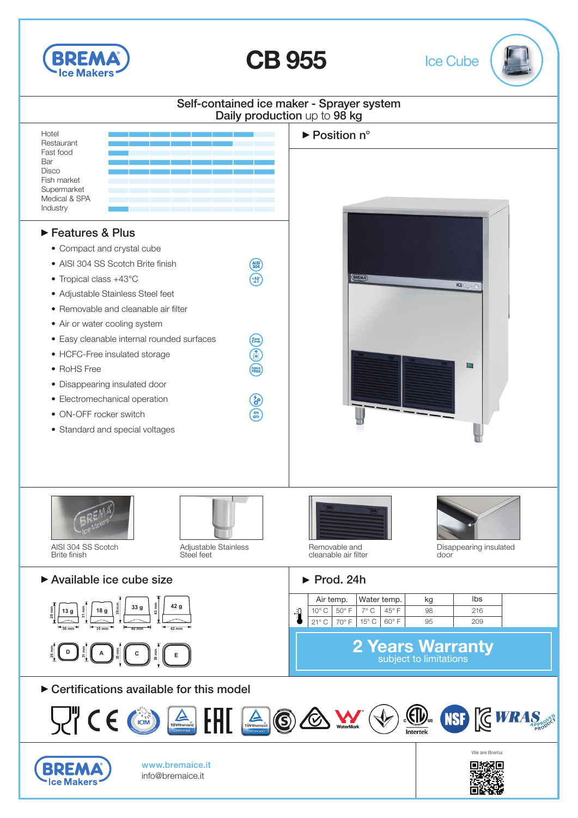

CB 955 Ice Cube